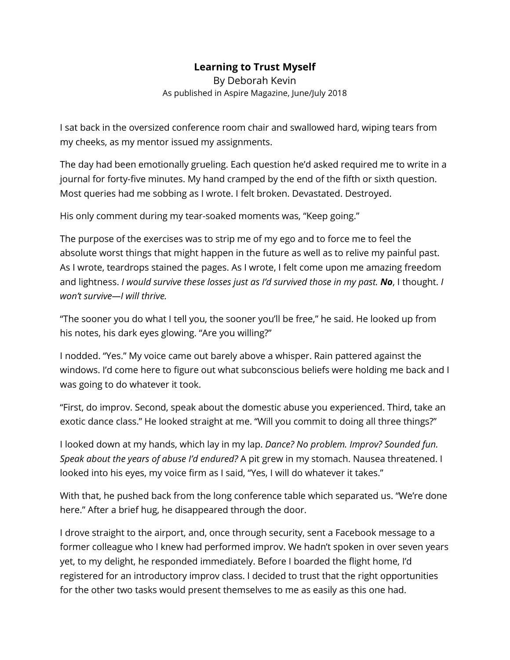## **Learning to Trust Myself**

By Deborah Kevin As published in Aspire Magazine, June/July 2018

I sat back in the oversized conference room chair and swallowed hard, wiping tears from my cheeks, as my mentor issued my assignments.

The day had been emotionally grueling. Each question he'd asked required me to write in a journal for forty-five minutes. My hand cramped by the end of the fifth or sixth question. Most queries had me sobbing as I wrote. I felt broken. Devastated. Destroyed.

His only comment during my tear-soaked moments was, "Keep going."

The purpose of the exercises was to strip me of my ego and to force me to feel the absolute worst things that might happen in the future as well as to relive my painful past. As I wrote, teardrops stained the pages. As I wrote, I felt come upon me amazing freedom and lightness. *I would survive these losses just as I'd survived those in my past. No*, I thought. *I won't survive—I will thrive.*

"The sooner you do what I tell you, the sooner you'll be free," he said. He looked up from his notes, his dark eyes glowing. "Are you willing?"

I nodded. "Yes." My voice came out barely above a whisper. Rain pattered against the windows. I'd come here to figure out what subconscious beliefs were holding me back and I was going to do whatever it took.

"First, do improv. Second, speak about the domestic abuse you experienced. Third, take an exotic dance class." He looked straight at me. "Will you commit to doing all three things?"

I looked down at my hands, which lay in my lap. *Dance? No problem. Improv? Sounded fun. Speak about the years of abuse I'd endured?* A pit grew in my stomach. Nausea threatened. I looked into his eyes, my voice firm as I said, "Yes, I will do whatever it takes."

With that, he pushed back from the long conference table which separated us. "We're done here." After a brief hug, he disappeared through the door.

I drove straight to the airport, and, once through security, sent a Facebook message to a former colleague who I knew had performed improv. We hadn't spoken in over seven years yet, to my delight, he responded immediately. Before I boarded the flight home, I'd registered for an introductory improv class. I decided to trust that the right opportunities for the other two tasks would present themselves to me as easily as this one had.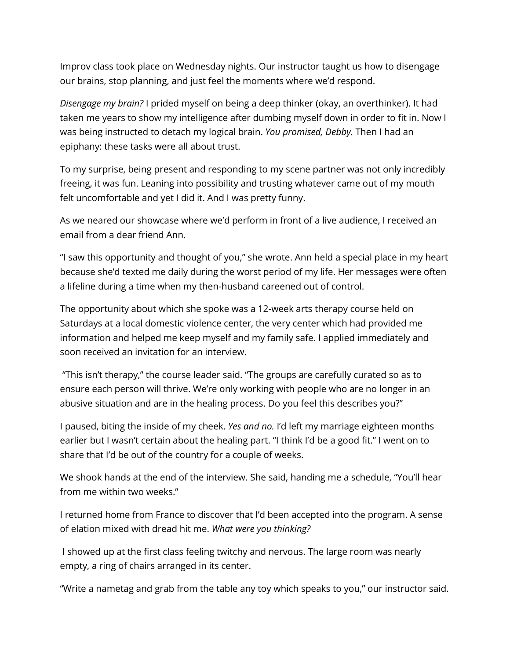Improv class took place on Wednesday nights. Our instructor taught us how to disengage our brains, stop planning, and just feel the moments where we'd respond.

*Disengage my brain?* I prided myself on being a deep thinker (okay, an overthinker). It had taken me years to show my intelligence after dumbing myself down in order to fit in. Now I was being instructed to detach my logical brain. *You promised, Debby.* Then I had an epiphany: these tasks were all about trust.

To my surprise, being present and responding to my scene partner was not only incredibly freeing, it was fun. Leaning into possibility and trusting whatever came out of my mouth felt uncomfortable and yet I did it. And I was pretty funny.

As we neared our showcase where we'd perform in front of a live audience, I received an email from a dear friend Ann.

"I saw this opportunity and thought of you," she wrote. Ann held a special place in my heart because she'd texted me daily during the worst period of my life. Her messages were often a lifeline during a time when my then-husband careened out of control.

The opportunity about which she spoke was a 12-week arts therapy course held on Saturdays at a local domestic violence center, the very center which had provided me information and helped me keep myself and my family safe. I applied immediately and soon received an invitation for an interview.

"This isn't therapy," the course leader said. "The groups are carefully curated so as to ensure each person will thrive. We're only working with people who are no longer in an abusive situation and are in the healing process. Do you feel this describes you?"

I paused, biting the inside of my cheek. *Yes and no.* I'd left my marriage eighteen months earlier but I wasn't certain about the healing part. "I think I'd be a good fit." I went on to share that I'd be out of the country for a couple of weeks.

We shook hands at the end of the interview. She said, handing me a schedule, "You'll hear from me within two weeks."

I returned home from France to discover that I'd been accepted into the program. A sense of elation mixed with dread hit me. *What were you thinking?*

I showed up at the first class feeling twitchy and nervous. The large room was nearly empty, a ring of chairs arranged in its center.

"Write a nametag and grab from the table any toy which speaks to you," our instructor said.